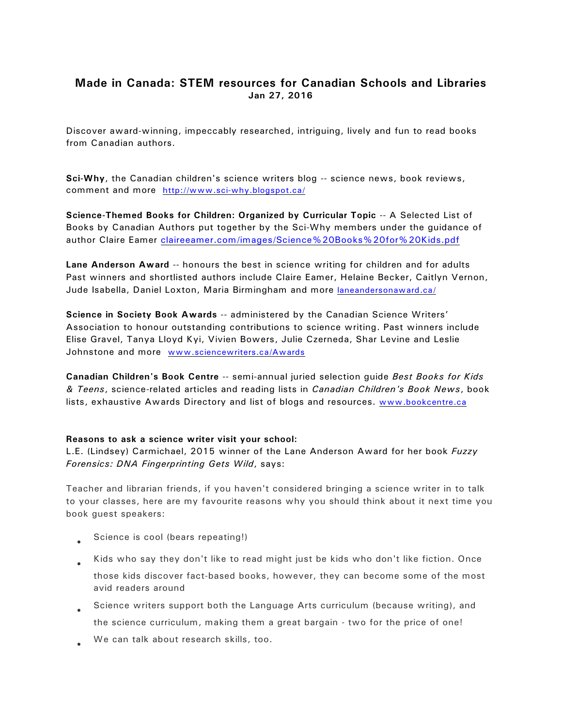## **Made in Canada: STEM resources for Canadian Schools and Libraries Jan 27, 2016**

Discover award-winning, impeccably researched, intriguing, lively and fun to read books from Canadian authors.

**Sci-Why**, the Canadian children's science writers blog -- science news, book reviews, comment and more <http://www.sci-why.blogspot.ca/>

**Science-Themed Books for Children: Organized by Curricular Topic** -- A Selected List of Books by Canadian Authors put together by the Sci-Why members under the guidance of author Claire Eamer [claireeamer.com/images/Science%20Books%20for%20Kids.pdf](http://claireeamer.com/images/Science%20Books%20for%20Kids.pdf)

**Lane Anderson Award** -- honours the best in science writing for children and for adults Past winners and shortlisted authors include Claire Eamer, Helaine Becker, Caitlyn Vernon, Jude Isabella, Daniel Loxton, Maria Birmingham and more [laneandersonaward.ca/](http://laneandersonaward.ca/)

**Science in Society Book Awards** -- administered by the Canadian Science Writers' Association to honour outstanding contributions to science writing. Past winners include Elise Gravel, Tanya Lloyd Kyi, Vivien Bowers, Julie Czerneda, Shar Levine and Leslie Johnstone and more [www.sciencewriters.ca/Awards](http://www.sciencewriters.ca/Awards)

**Canadian Children's Book Centre** -- semi-annual juried selection guide *Best Books for Kids & Teens*, science-related articles and reading lists in *Canadian Children's Book News*, book lists, exhaustive Awards Directory and list of blogs and resources. [www.bookcentre.ca](http://www.bookcentre.ca)

## **Reasons to ask a science writer visit your school:**

L.E. (Lindsey) Carmichael, 2015 winner of the Lane Anderson Award for her book *Fuzzy Forensics: DNA Fingerprinting Gets Wild*, says:

Teacher and librarian friends, if you haven't considered bringing a science writer in to talk to your classes, here are my favourite reasons why you should think about it next time you book guest speakers:

Science is cool (bears repeating!)

Kids who say they don't like to read might just be kids who don't like fiction. Once those kids discover fact-based books, however, they can become some of the most avid readers around

Science writers support both the Language Arts curriculum (because writing), and the science curriculum, making them a great bargain - two for the price of one! We can talk about research skills, too.